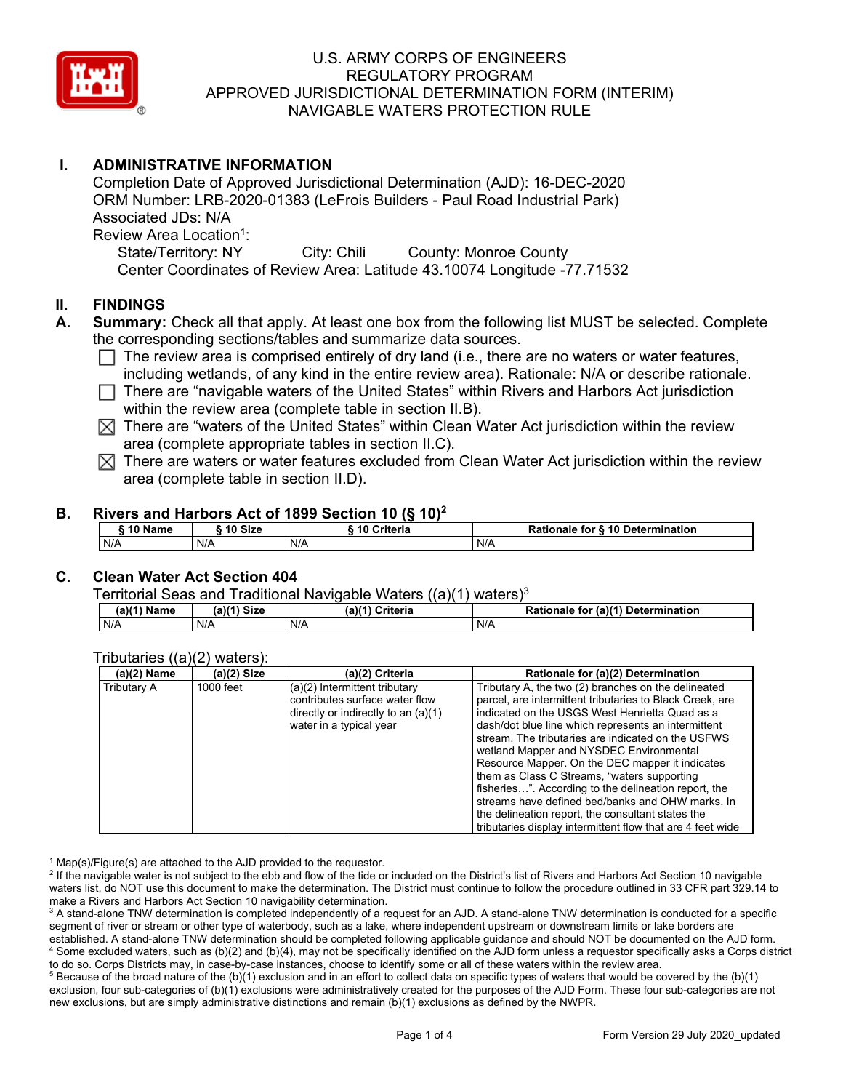

# **I. ADMINISTRATIVE INFORMATION**

Completion Date of Approved Jurisdictional Determination (AJD): 16-DEC-2020 ORM Number: LRB-2020-01383 (LeFrois Builders - Paul Road Industrial Park) Associated JDs: N/A Review Area Location<sup>1</sup>: State/Territory: NY City: Chili County: Monroe County Center Coordinates of Review Area: Latitude 43.10074 Longitude -77.71532

#### **II. FINDINGS**

- **A. Summary:** Check all that apply. At least one box from the following list MUST be selected. Complete the corresponding sections/tables and summarize data sources.
	- $\Box$  The review area is comprised entirely of dry land (i.e., there are no waters or water features, including wetlands, of any kind in the entire review area). Rationale: N/A or describe rationale.
	- $\Box$  There are "navigable waters of the United States" within Rivers and Harbors Act jurisdiction within the review area (complete table in section II.B).
	- $\boxtimes$  There are "waters of the United States" within Clean Water Act jurisdiction within the review area (complete appropriate tables in section II.C).
	- $\boxtimes$  There are waters or water features excluded from Clean Water Act jurisdiction within the review area (complete table in section II.D).

#### **B. Rivers and Harbors Act of 1899 Section 10 (§ 10)<sup>2</sup>**

| 10 Name | ີ <sup>4</sup> ባ Size | Criteria | Rationale for § 10 Determination |
|---------|-----------------------|----------|----------------------------------|
| N/A     | N/A                   | N/A      | N/A                              |

### **C. Clean Water Act Section 404**

Territorial Seas and Traditional Navigable Waters  $((a)(1)$  waters)<sup>3</sup>

| $(a)(1)$ Name | $(a)$ $(4)$<br>Size | (a)(1)<br>Criteria | (a)(1)<br>Determination<br>Rationale<br>tor |
|---------------|---------------------|--------------------|---------------------------------------------|
| N/A           | N/A                 | N/P                | $N$ /                                       |

#### Tributaries ((a)(2) waters):

| $(a)(2)$ Name | (a)(2) Size | (a)(2) Criteria                       | Rationale for (a)(2) Determination                         |
|---------------|-------------|---------------------------------------|------------------------------------------------------------|
| Tributary A   | 1000 feet   | (a)(2) Intermittent tributary         | Tributary A, the two (2) branches on the delineated        |
|               |             | contributes surface water flow        | parcel, are intermittent tributaries to Black Creek, are   |
|               |             | directly or indirectly to an $(a)(1)$ | indicated on the USGS West Henrietta Quad as a             |
|               |             | water in a typical year               | dash/dot blue line which represents an intermittent        |
|               |             |                                       | stream. The tributaries are indicated on the USFWS         |
|               |             |                                       | wetland Mapper and NYSDEC Environmental                    |
|               |             |                                       | Resource Mapper. On the DEC mapper it indicates            |
|               |             |                                       | them as Class C Streams, "waters supporting                |
|               |             |                                       | fisheries". According to the delineation report, the       |
|               |             |                                       | streams have defined bed/banks and OHW marks. In           |
|               |             |                                       | the delineation report, the consultant states the          |
|               |             |                                       | tributaries display intermittent flow that are 4 feet wide |

 $1$  Map(s)/Figure(s) are attached to the AJD provided to the requestor.

<sup>2</sup> If the navigable water is not subject to the ebb and flow of the tide or included on the District's list of Rivers and Harbors Act Section 10 navigable waters list, do NOT use this document to make the determination. The District must continue to follow the procedure outlined in 33 CFR part 329.14 to make a Rivers and Harbors Act Section 10 navigability determination.

<sup>3</sup> A stand-alone TNW determination is completed independently of a request for an AJD. A stand-alone TNW determination is conducted for a specific segment of river or stream or other type of waterbody, such as a lake, where independent upstream or downstream limits or lake borders are established. A stand-alone TNW determination should be completed following applicable guidance and should NOT be documented on the AJD form. <sup>4</sup> Some excluded waters, such as (b)(2) and (b)(4), may not be specifically identified on the AJD form unless a requestor specifically asks a Corps district to do so. Corps Districts may, in case-by-case instances, choose to identify some or all of these waters within the review area.

 $5$  Because of the broad nature of the (b)(1) exclusion and in an effort to collect data on specific types of waters that would be covered by the (b)(1) exclusion, four sub-categories of (b)(1) exclusions were administratively created for the purposes of the AJD Form. These four sub-categories are not new exclusions, but are simply administrative distinctions and remain (b)(1) exclusions as defined by the NWPR.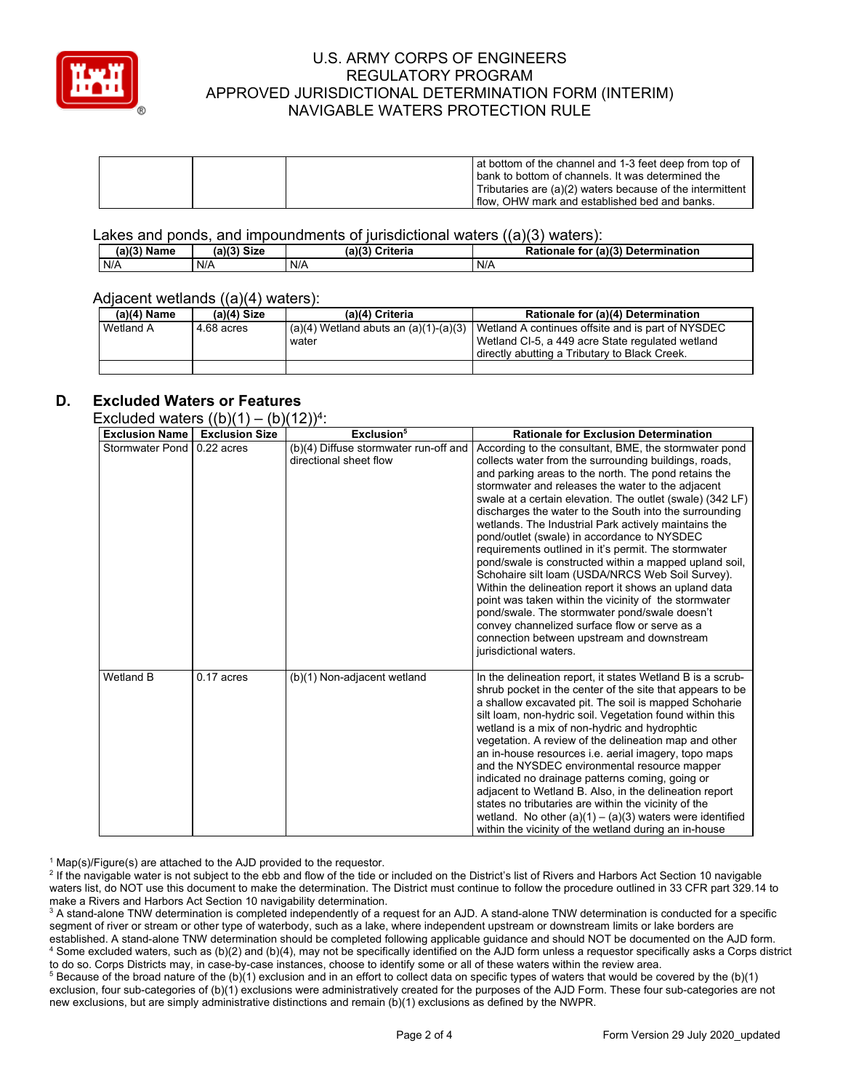

| at bottom of the channel and 1-3 feet deep from top of    |
|-----------------------------------------------------------|
| bank to bottom of channels. It was determined the         |
| Tributaries are (a)(2) waters because of the intermittent |
| I flow. OHW mark and established bed and banks.           |

Lakes and ponds, and impoundments of jurisdictional waters ((a)(3) waters):

| (a)(3) Name | (a)(3) Size | (a)(3) Criteria | <b>Rationale</b><br>(a)(3) Determination<br>for |
|-------------|-------------|-----------------|-------------------------------------------------|
| N/A         | N/A         | N/A             | N/A                                             |

#### Adjacent wetlands ((a)(4) waters):

| $(a)(4)$ Name | $(a)(4)$ Size | (a)(4) Criteria                           | Rationale for (a)(4) Determination                |
|---------------|---------------|-------------------------------------------|---------------------------------------------------|
| Wetland A     | 4.68 acres    | $(a)(4)$ Wetland abuts an $(a)(1)-(a)(3)$ | Wetland A continues offsite and is part of NYSDEC |
|               |               | water                                     | Wetland CI-5, a 449 acre State regulated wetland  |
|               |               |                                           | l directly abutting a Tributary to Black Creek.   |
|               |               |                                           |                                                   |

### **D. Excluded Waters or Features**

Excluded waters  $((b)(1) - (b)(12))^{4}$ 

| where $max$<br><b>Exclusion Name</b> | <b>Exclusion Size</b> | $(\nu/\nu \cdot 4)$ .<br>Exclusion <sup>5</sup>                 | <b>Rationale for Exclusion Determination</b>                                                                                                                                                                                                                                                                                                                                                                                                                                                                                                                                                                                                                                                                                                                                                                                                                                                                                |
|--------------------------------------|-----------------------|-----------------------------------------------------------------|-----------------------------------------------------------------------------------------------------------------------------------------------------------------------------------------------------------------------------------------------------------------------------------------------------------------------------------------------------------------------------------------------------------------------------------------------------------------------------------------------------------------------------------------------------------------------------------------------------------------------------------------------------------------------------------------------------------------------------------------------------------------------------------------------------------------------------------------------------------------------------------------------------------------------------|
| <b>Stormwater Pond</b>               | $0.22$ acres          | (b)(4) Diffuse stormwater run-off and<br>directional sheet flow | According to the consultant, BME, the stormwater pond<br>collects water from the surrounding buildings, roads,<br>and parking areas to the north. The pond retains the<br>stormwater and releases the water to the adjacent<br>swale at a certain elevation. The outlet (swale) (342 LF)<br>discharges the water to the South into the surrounding<br>wetlands. The Industrial Park actively maintains the<br>pond/outlet (swale) in accordance to NYSDEC<br>requirements outlined in it's permit. The stormwater<br>pond/swale is constructed within a mapped upland soil,<br>Schohaire silt loam (USDA/NRCS Web Soil Survey).<br>Within the delineation report it shows an upland data<br>point was taken within the vicinity of the stormwater<br>pond/swale. The stormwater pond/swale doesn't<br>convey channelized surface flow or serve as a<br>connection between upstream and downstream<br>jurisdictional waters. |
| Wetland B                            | $0.17$ acres          | (b)(1) Non-adjacent wetland                                     | In the delineation report, it states Wetland B is a scrub-<br>shrub pocket in the center of the site that appears to be<br>a shallow excavated pit. The soil is mapped Schoharie<br>silt loam, non-hydric soil. Vegetation found within this<br>wetland is a mix of non-hydric and hydrophtic<br>vegetation. A review of the delineation map and other<br>an in-house resources i.e. aerial imagery, topo maps<br>and the NYSDEC environmental resource mapper<br>indicated no drainage patterns coming, going or<br>adjacent to Wetland B. Also, in the delineation report<br>states no tributaries are within the vicinity of the<br>wetland. No other $(a)(1) - (a)(3)$ waters were identified<br>within the vicinity of the wetland during an in-house                                                                                                                                                                  |

 $1$  Map(s)/Figure(s) are attached to the AJD provided to the requestor.

<sup>2</sup> If the navigable water is not subject to the ebb and flow of the tide or included on the District's list of Rivers and Harbors Act Section 10 navigable waters list, do NOT use this document to make the determination. The District must continue to follow the procedure outlined in 33 CFR part 329.14 to make a Rivers and Harbors Act Section 10 navigability determination.

<sup>3</sup> A stand-alone TNW determination is completed independently of a request for an AJD. A stand-alone TNW determination is conducted for a specific segment of river or stream or other type of waterbody, such as a lake, where independent upstream or downstream limits or lake borders are established. A stand-alone TNW determination should be completed following applicable guidance and should NOT be documented on the AJD form. <sup>4</sup> Some excluded waters, such as (b)(2) and (b)(4), may not be specifically identified on the AJD form unless a requestor specifically asks a Corps district to do so. Corps Districts may, in case-by-case instances, choose to identify some or all of these waters within the review area.

 $5$  Because of the broad nature of the (b)(1) exclusion and in an effort to collect data on specific types of waters that would be covered by the (b)(1) exclusion, four sub-categories of (b)(1) exclusions were administratively created for the purposes of the AJD Form. These four sub-categories are not new exclusions, but are simply administrative distinctions and remain (b)(1) exclusions as defined by the NWPR.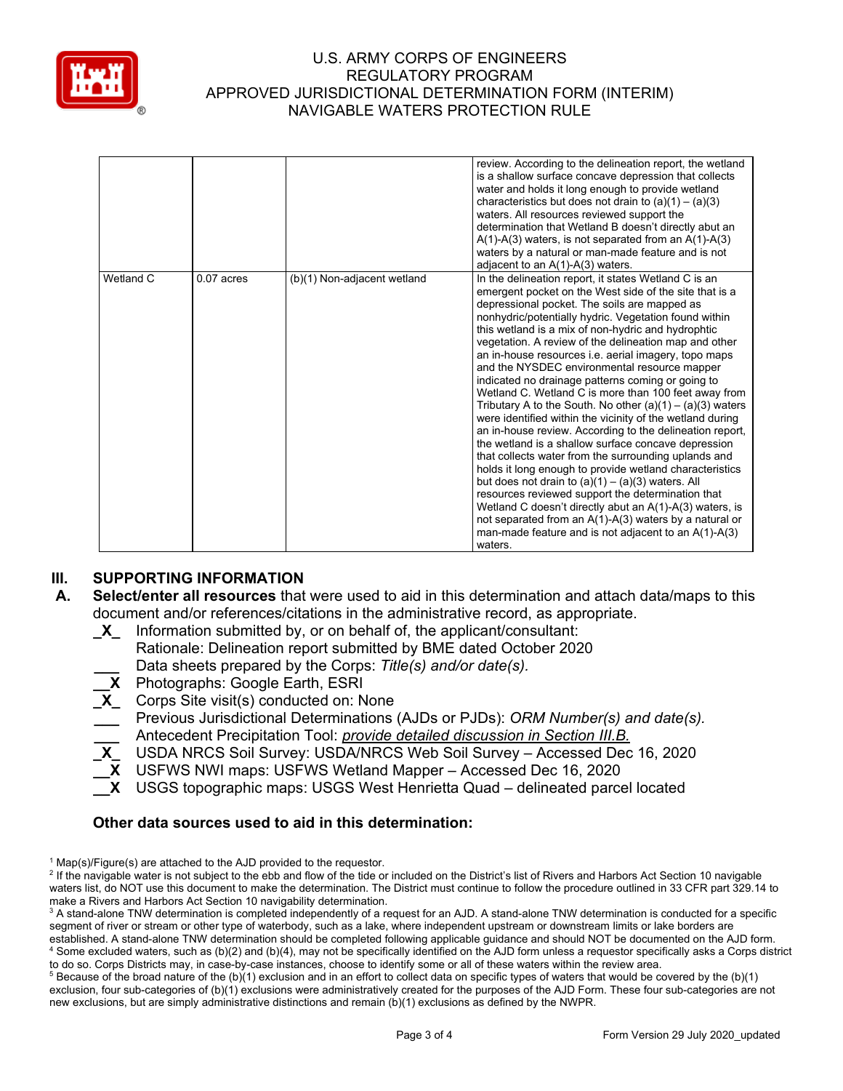

|           |              |                             | review. According to the delineation report, the wetland<br>is a shallow surface concave depression that collects<br>water and holds it long enough to provide wetland<br>characteristics but does not drain to $(a)(1) - (a)(3)$<br>waters. All resources reviewed support the<br>determination that Wetland B doesn't directly abut an<br>$A(1)-A(3)$ waters, is not separated from an $A(1)-A(3)$<br>waters by a natural or man-made feature and is not<br>adjacent to an $A(1)-A(3)$ waters.                                                                                                                                                                                                                                                                                                                                                                                                                                                                                                                                                                                                                                                                                                                                      |
|-----------|--------------|-----------------------------|---------------------------------------------------------------------------------------------------------------------------------------------------------------------------------------------------------------------------------------------------------------------------------------------------------------------------------------------------------------------------------------------------------------------------------------------------------------------------------------------------------------------------------------------------------------------------------------------------------------------------------------------------------------------------------------------------------------------------------------------------------------------------------------------------------------------------------------------------------------------------------------------------------------------------------------------------------------------------------------------------------------------------------------------------------------------------------------------------------------------------------------------------------------------------------------------------------------------------------------|
| Wetland C | $0.07$ acres | (b)(1) Non-adjacent wetland | In the delineation report, it states Wetland C is an<br>emergent pocket on the West side of the site that is a<br>depressional pocket. The soils are mapped as<br>nonhydric/potentially hydric. Vegetation found within<br>this wetland is a mix of non-hydric and hydrophtic<br>vegetation. A review of the delineation map and other<br>an in-house resources i.e. aerial imagery, topo maps<br>and the NYSDEC environmental resource mapper<br>indicated no drainage patterns coming or going to<br>Wetland C. Wetland C is more than 100 feet away from<br>Tributary A to the South. No other $(a)(1) - (a)(3)$ waters<br>were identified within the vicinity of the wetland during<br>an in-house review. According to the delineation report,<br>the wetland is a shallow surface concave depression<br>that collects water from the surrounding uplands and<br>holds it long enough to provide wetland characteristics<br>but does not drain to $(a)(1) - (a)(3)$ waters. All<br>resources reviewed support the determination that<br>Wetland C doesn't directly abut an A(1)-A(3) waters, is<br>not separated from an $A(1)-A(3)$ waters by a natural or<br>man-made feature and is not adjacent to an $A(1)-A(3)$<br>waters. |

# **III. SUPPORTING INFORMATION**

- **A. Select/enter all resources** that were used to aid in this determination and attach data/maps to this document and/or references/citations in the administrative record, as appropriate.
	- **\_X\_** Information submitted by, or on behalf of, the applicant/consultant:
	- Rationale: Delineation report submitted by BME dated October 2020 **\_\_\_** Data sheets prepared by the Corps: *Title(s) and/or date(s).*
	- **\_\_X** Photographs: Google Earth, ESRI
	- **\_X\_** Corps Site visit(s) conducted on: None
	- **\_\_\_** Previous Jurisdictional Determinations (AJDs or PJDs): *ORM Number(s) and date(s).* **\_\_\_** Antecedent Precipitation Tool: *provide detailed discussion in Section III.B.*
	- **\_X\_** USDA NRCS Soil Survey: USDA/NRCS Web Soil Survey Accessed Dec 16, 2020
	- **\_\_X** USFWS NWI maps: USFWS Wetland Mapper Accessed Dec 16, 2020
	- **\_\_X** USGS topographic maps: USGS West Henrietta Quad delineated parcel located

#### **Other data sources used to aid in this determination:**

 $5$  Because of the broad nature of the (b)(1) exclusion and in an effort to collect data on specific types of waters that would be covered by the (b)(1) exclusion, four sub-categories of (b)(1) exclusions were administratively created for the purposes of the AJD Form. These four sub-categories are not new exclusions, but are simply administrative distinctions and remain (b)(1) exclusions as defined by the NWPR.

 $1$  Map(s)/Figure(s) are attached to the AJD provided to the requestor.

<sup>&</sup>lt;sup>2</sup> If the navigable water is not subject to the ebb and flow of the tide or included on the District's list of Rivers and Harbors Act Section 10 navigable waters list, do NOT use this document to make the determination. The District must continue to follow the procedure outlined in 33 CFR part 329.14 to make a Rivers and Harbors Act Section 10 navigability determination.

<sup>&</sup>lt;sup>3</sup> A stand-alone TNW determination is completed independently of a request for an AJD. A stand-alone TNW determination is conducted for a specific segment of river or stream or other type of waterbody, such as a lake, where independent upstream or downstream limits or lake borders are established. A stand-alone TNW determination should be completed following applicable guidance and should NOT be documented on the AJD form. <sup>4</sup> Some excluded waters, such as (b)(2) and (b)(4), may not be specifically identified on the AJD form unless a requestor specifically asks a Corps district to do so. Corps Districts may, in case-by-case instances, choose to identify some or all of these waters within the review area.